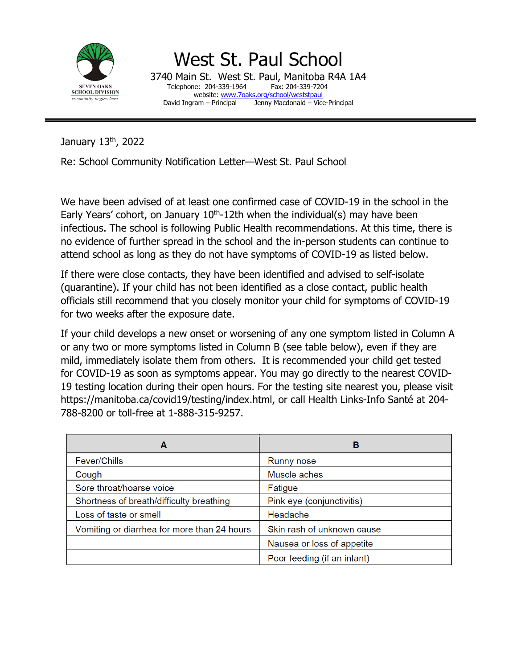

West St. Paul School 3740 Main St. West St. Paul, Manitoba R4A 1A4 Telephone: 204-339-1964 website: [www.7oaks.org/school/weststpaul](http://www.7oaks.org/school/weststpaul)<br>David Ingram – Principal Jenny Macdonald – Vic Jenny Macdonald – Vice-Principal

January 13th, 2022

Re: School Community Notification Letter—West St. Paul School

We have been advised of at least one confirmed case of COVID-19 in the school in the Early Years' cohort, on January  $10<sup>th</sup>$ -12th when the individual(s) may have been infectious. The school is following Public Health recommendations. At this time, there is no evidence of further spread in the school and the in-person students can continue to attend school as long as they do not have symptoms of COVID-19 as listed below.

If there were close contacts, they have been identified and advised to self-isolate (quarantine). If your child has not been identified as a close contact, public health officials still recommend that you closely monitor your child for symptoms of COVID-19 for two weeks after the exposure date.

If your child develops a new onset or worsening of any one symptom listed in Column A or any two or more symptoms listed in Column B (see table below), even if they are mild, immediately isolate them from others. It is recommended your child get tested for COVID-19 as soon as symptoms appear. You may go directly to the nearest COVID-19 testing location during their open hours. For the testing site nearest you, please visit https://manitoba.ca/covid19/testing/index.html, or call Health Links-Info Santé at 204- 788-8200 or toll-free at 1-888-315-9257.

| A                                           | в                           |
|---------------------------------------------|-----------------------------|
| <b>Fever/Chills</b>                         | Runny nose                  |
| Cough                                       | Muscle aches                |
| Sore throat/hoarse voice                    | Fatigue                     |
| Shortness of breath/difficulty breathing    | Pink eye (conjunctivitis)   |
| Loss of taste or smell                      | Headache                    |
| Vomiting or diarrhea for more than 24 hours | Skin rash of unknown cause  |
|                                             | Nausea or loss of appetite  |
|                                             | Poor feeding (if an infant) |